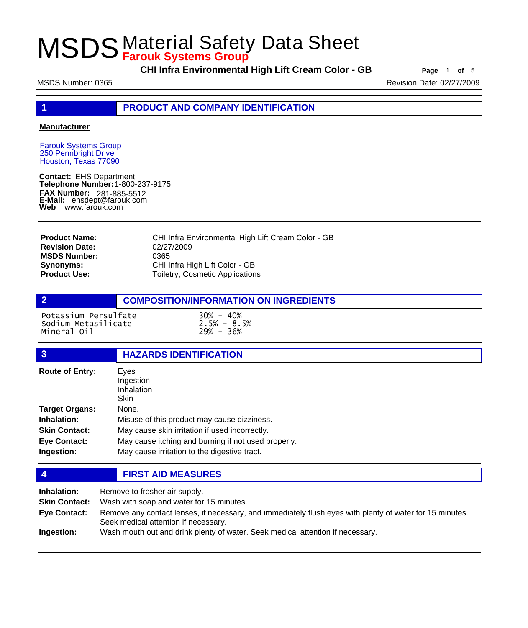**CHI Infra Environmental High Lift Cream Color - GB Page** <sup>1</sup> **of** <sup>5</sup>

MSDS Number: 0365 Revision Date: 02/27/2009

**1 PRODUCT AND COMPANY IDENTIFICATION**

### **Manufacturer**

Farouk Systems Group 250 Pennbright Drive Houston, Texas 77090

**Contact:** EHS Department **Telephone Number:** 1-800-237-9175 **FAX Number: FAX Number:** 281-885-5512<br>**E-Mail:** ehsdept@farouk.com **Web** www.farouk.com

CHI Infra Environmental High Lift Cream Color - GB 02/27/2009 0365 CHI Infra High Lift Color - GB Toiletry, Cosmetic Applications **Product Name: Revision Date: MSDS Number: Synonyms: Product Use:**

## **2 COMPOSITION/INFORMATION ON INGREDIENTS**

Potassium Persulfate 30% - 40% Sodium Metasilicate 2.5% - 8.5% Mineral 0il

## **3 HAZARDS IDENTIFICATION**

| <b>Route of Entry:</b> | Eyes<br>Ingestion<br>Inhalation<br>Skin             |
|------------------------|-----------------------------------------------------|
| <b>Target Organs:</b>  | None.                                               |
| Inhalation:            | Misuse of this product may cause dizziness.         |
| <b>Skin Contact:</b>   | May cause skin irritation if used incorrectly.      |
| <b>Eye Contact:</b>    | May cause itching and burning if not used properly. |
| Ingestion:             | May cause irritation to the digestive tract.        |

### **4 FIRST AID MEASURES**

| Inhalation:          | Remove to fresher air supply.                                                                                                                    |  |
|----------------------|--------------------------------------------------------------------------------------------------------------------------------------------------|--|
| <b>Skin Contact:</b> | Wash with soap and water for 15 minutes.                                                                                                         |  |
| Eye Contact:         | Remove any contact lenses, if necessary, and immediately flush eyes with plenty of water for 15 minutes.<br>Seek medical attention if necessary. |  |
| Ingestion:           | Wash mouth out and drink plenty of water. Seek medical attention if necessary.                                                                   |  |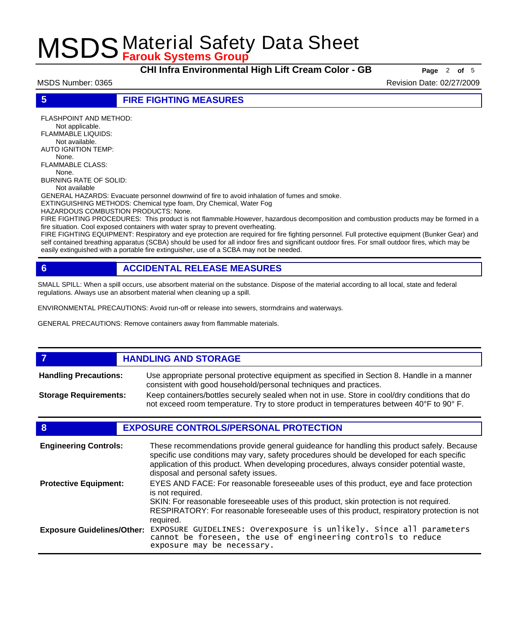**CHI Infra Environmental High Lift Cream Color - GB Page** <sup>2</sup> **of** <sup>5</sup>

MSDS Number: 0365 Revision Date: 02/27/2009

**5 FIRE FIGHTING MEASURES**

FLASHPOINT AND METHOD: Not applicable. FLAMMABLE LIQUIDS: Not available. AUTO IGNITION TEMP: None. FLAMMABLE CLASS: None. BURNING RATE OF SOLID: Not available

GENERAL HAZARDS: Evacuate personnel downwind of fire to avoid inhalation of fumes and smoke.

EXTINGUISHING METHODS: Chemical type foam, Dry Chemical, Water Fog

HAZARDOUS COMBUSTION PRODUCTS: None.

FIRE FIGHTING PROCEDURES: This product is not flammable.However, hazardous decomposition and combustion products may be formed in a fire situation. Cool exposed containers with water spray to prevent overheating.

FIRE FIGHTING EQUIPMENT: Respiratory and eye protection are required for fire fighting personnel. Full protective equipment (Bunker Gear) and self contained breathing apparatus (SCBA) should be used for all indoor fires and significant outdoor fires. For small outdoor fires, which may be easily extinguished with a portable fire extinguisher, use of a SCBA may not be needed.

# **6 ACCIDENTAL RELEASE MEASURES**

SMALL SPILL: When a spill occurs, use absorbent material on the substance. Dispose of the material according to all local, state and federal regulations. Always use an absorbent material when cleaning up a spill.

ENVIRONMENTAL PRECAUTIONS: Avoid run-off or release into sewers, stormdrains and waterways.

GENERAL PRECAUTIONS: Remove containers away from flammable materials.

#### *HANDLING AND STORAGE* Use appropriate personal protective equipment as specified in Section 8. Handle in a manner consistent with good household/personal techniques and practices. **Handling Precautions:** Keep containers/bottles securely sealed when not in use. Store in cool/dry conditions that do not exceed room temperature. Try to store product in temperatures between 40°F to 90° F. **Storage Requirements:**

# **8 EXPOSURE CONTROLS/PERSONAL PROTECTION**

| <b>Engineering Controls:</b>      | These recommendations provide general guideance for handling this product safely. Because<br>specific use conditions may vary, safety procedures should be developed for each specific<br>application of this product. When developing procedures, always consider potential waste,<br>disposal and personal safety issues. |
|-----------------------------------|-----------------------------------------------------------------------------------------------------------------------------------------------------------------------------------------------------------------------------------------------------------------------------------------------------------------------------|
| <b>Protective Equipment:</b>      | EYES AND FACE: For reasonable foreseeable uses of this product, eye and face protection<br>is not required.<br>SKIN: For reasonable foreseeable uses of this product, skin protection is not required.<br>RESPIRATORY: For reasonable foreseeable uses of this product, respiratory protection is not<br>required.          |
| <b>Exposure Guidelines/Other:</b> | EXPOSURE GUIDELINES: Overexposure is unlikely. Since all parameters cannot be foreseen, the use of engineering controls to reduce<br>exposure may be necessary.                                                                                                                                                             |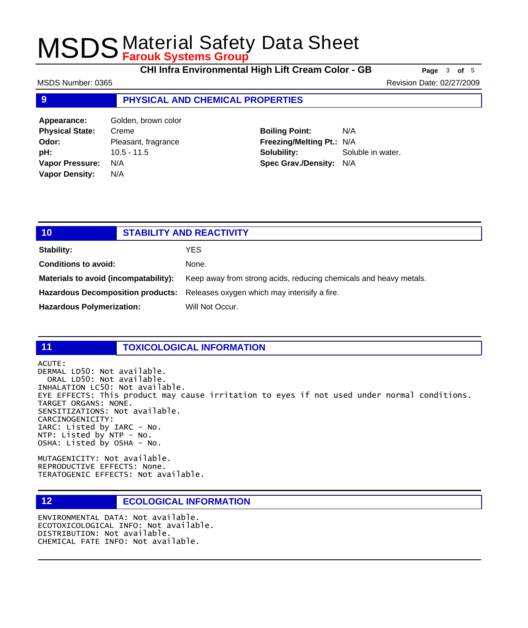**CHI Infra Environmental High Lift Cream Color - GB Page** <sup>3</sup> **of** <sup>5</sup>

MSDS Number: 0365 Revision Date: 02/27/2009

### **9 PHYSICAL AND CHEMICAL PROPERTIES**

| Golden, brown color |
|---------------------|
| Creme               |
| Pleasant, fragrance |
| $10.5 - 11.5$       |
| N/A                 |
| N/A                 |
|                     |

**Boiling Point:** N/A **Freezing/Melting Pt.:** N/A **Solubility:** Soluble in water. **Spec Grav./Density:** N/A

| 10                                    | <b>STABILITY AND REACTIVITY</b> |                                                                               |
|---------------------------------------|---------------------------------|-------------------------------------------------------------------------------|
| <b>Stability:</b>                     |                                 | YES.                                                                          |
| <b>Conditions to avoid:</b>           |                                 | None.                                                                         |
| Materials to avoid (incompatability): |                                 | Keep away from strong acids, reducing chemicals and heavy metals.             |
|                                       |                                 | Hazardous Decomposition products: Releases oxygen which may intensify a fire. |
| <b>Hazardous Polymerization:</b>      |                                 | Will Not Occur.                                                               |
|                                       |                                 |                                                                               |

#### **11 TOXICOLOGICAL INFORMATION**

ACUTE:

DERMAL LD50: Not available. ORAL LD50: Not available. INHALATION LC50: Not available. EYE EFFECTS: This product may cause irritation to eyes if not used under normal conditions. TARGET ORGANS: NONE. SENSITIZATIONS: Not available. CARCINOGENICITY: IARC: Listed by IARC - No. NTP: Listed by NTP - No. OSHA: Listed by OSHA - No.

MUTAGENICITY: Not available. REPRODUCTIVE EFFECTS: None. TERATOGENIC EFFECTS: Not available.

## **12 ECOLOGICAL INFORMATION**

ENVIRONMENTAL DATA: Not available. ECOTOXICOLOGICAL INFO: Not available. DISTRIBUTION: Not available. CHEMICAL FATE INFO: Not available.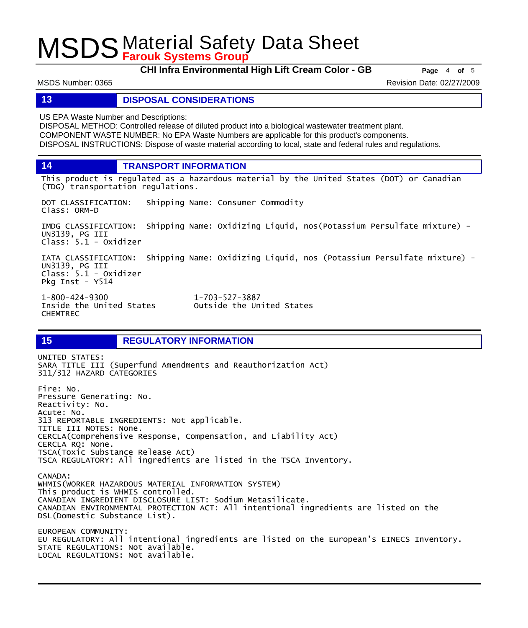**CHI Infra Environmental High Lift Cream Color - GB Page** <sup>4</sup> **of** <sup>5</sup>

MSDS Number: 0365 Revision Date: 02/27/2009

**13 DISPOSAL CONSIDERATIONS**

US EPA Waste Number and Descriptions:

DISPOSAL METHOD: Controlled release of diluted product into a biological wastewater treatment plant. COMPONENT WASTE NUMBER: No EPA Waste Numbers are applicable for this product's components. DISPOSAL INSTRUCTIONS: Dispose of waste material according to local, state and federal rules and regulations.

**14 TRANSPORT INFORMATION**

This product is regulated as a hazardous material by the United States (DOT) or Canadian (TDG) transportation regulations.

DOT CLASSIFICATION: Shipping Name: Consumer Commodity Class: ORM-D

IMDG CLASSIFICATION: Shipping Name: Oxidizing Liquid, nos(Potassium Persulfate mixture) - UN3139, PG III Class: 5.1 - Oxidizer

IATA CLASSIFICATION: Shipping Name: Oxidizing Liquid, nos (Potassium Persulfate mixture) - UN3139, PG III Class: 5.1 - Oxidizer Pkg Inst - Y514

1-800-424-9300 1-703-527-3887 CHEMTREC

Outside the United States

# **15 REGULATORY INFORMATION**

UNITED STATES: SARA TITLE III (Superfund Amendments and Reauthorization Act) 311/312 HAZARD CATEGORIES Fire: No. Pressure Generating: No. Reactivity: No. Acute: No. 313 REPORTABLE INGREDIENTS: Not applicable. TITLE III NOTES: None. CERCLA(Comprehensive Response, Compensation, and Liability Act) CERCLA RQ: None. TSCA(Toxic Substance Release Act) TSCA REGULATORY: All ingredients are listed in the TSCA Inventory. CANADA: WHMIS(WORKER HAZARDOUS MATERIAL INFORMATION SYSTEM) This product is WHMIS controlled. CANADIAN INGREDIENT DISCLOSURE LIST: Sodium Metasilicate. CANADIAN ENVIRONMENTAL PROTECTION ACT: All intentional ingredients are listed on the DSL(Domestic Substance List). EUROPEAN COMMUNITY: EU REGULATORY: All intentional ingredients are listed on the European's EINECS Inventory. STATE REGULATIONS: Not available. LOCAL REGULATIONS: Not available.